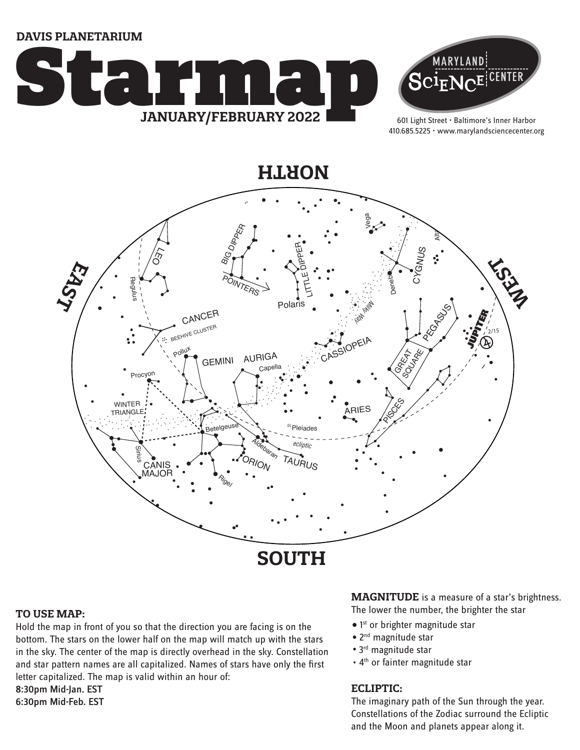**DAVIS PLANETARIUM**





ht Street · B<br>225 · www.i 601 Light Street • Baltimore's Inner Harbor 410.685.5225 • www.marylandsciencecenter.org

**NORTH**



### **TO USE MAP:**

Hold the map in front of you so that the direction you are facing is on the bottom. The stars on the lower half on the map will match up with the stars in the sky. The center of the map is directly overhead in the sky. Constellation and star pattern names are all capitalized. Names of stars have only the first letter capitalized. The map is valid within an hour of: 8:30pm Mid-Jan. EST

6:30pm Mid-Feb. EST

**MAGNITUDE** is a measure of a star's brightness. The lower the number, the brighter the star

- 1<sup>st</sup> or brighter magnitude star
- 2<sup>nd</sup> magnitude star
- 3<sup>rd</sup> magnitude star
- 4<sup>th</sup> or fainter magnitude star

### **ECLIPTIC:**

The imaginary path of the Sun through the year. Constellations of the Zodiac surround the Ecliptic and the Moon and planets appear along it.